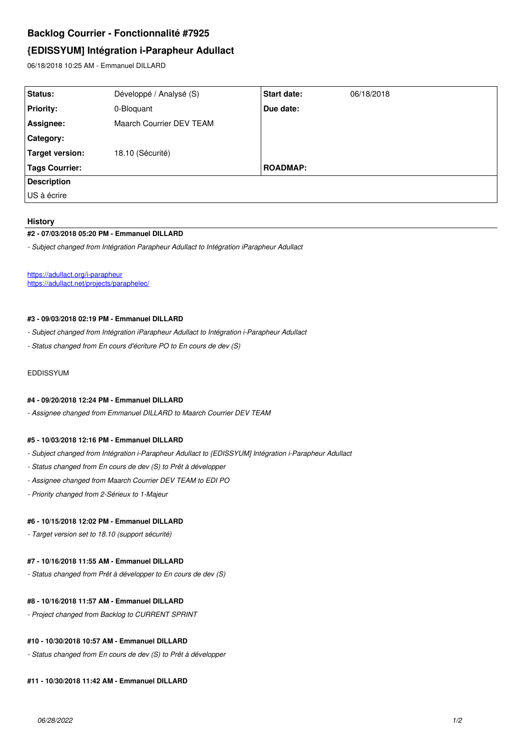# **Backlog Courrier - Fonctionnalité #7925**

# **{EDISSYUM] Intégration i-Parapheur Adullact**

06/18/2018 10:25 AM - Emmanuel DILLARD

| Status:               | Développé / Analysé (S)  | <b>Start date:</b> | 06/18/2018 |
|-----------------------|--------------------------|--------------------|------------|
| <b>Priority:</b>      | 0-Bloquant               | Due date:          |            |
| Assignee:             | Maarch Courrier DEV TEAM |                    |            |
| Category:             |                          |                    |            |
| Target version:       | 18.10 (Sécurité)         |                    |            |
| <b>Tags Courrier:</b> |                          | <b>ROADMAP:</b>    |            |
| <b>Description</b>    |                          |                    |            |
| US à écrire           |                          |                    |            |

#### **History**

#### **#2 - 07/03/2018 05:20 PM - Emmanuel DILLARD**

*- Subject changed from Intégration Parapheur Adullact to Intégration iParapheur Adullact*

<https://adullact.org/i-parapheur> <https://adullact.net/projects/paraphelec/>

#### **#3 - 09/03/2018 02:19 PM - Emmanuel DILLARD**

- *Subject changed from Intégration iParapheur Adullact to Intégration i-Parapheur Adullact*
- *Status changed from En cours d'écriture PO to En cours de dev (S)*

# **EDDISSYUM**

#### **#4 - 09/20/2018 12:24 PM - Emmanuel DILLARD**

*- Assignee changed from Emmanuel DILLARD to Maarch Courrier DEV TEAM*

#### **#5 - 10/03/2018 12:16 PM - Emmanuel DILLARD**

- *Subject changed from Intégration i-Parapheur Adullact to {EDISSYUM] Intégration i-Parapheur Adullact*
- *Status changed from En cours de dev (S) to Prêt à développer*
- *Assignee changed from Maarch Courrier DEV TEAM to EDI PO*
- *Priority changed from 2-Sérieux to 1-Majeur*

#### **#6 - 10/15/2018 12:02 PM - Emmanuel DILLARD**

*- Target version set to 18.10 (support sécurité)*

# **#7 - 10/16/2018 11:55 AM - Emmanuel DILLARD**

*- Status changed from Prêt à développer to En cours de dev (S)*

# **#8 - 10/16/2018 11:57 AM - Emmanuel DILLARD**

*- Project changed from Backlog to CURRENT SPRINT*

# **#10 - 10/30/2018 10:57 AM - Emmanuel DILLARD**

*- Status changed from En cours de dev (S) to Prêt à développer*

#### **#11 - 10/30/2018 11:42 AM - Emmanuel DILLARD**